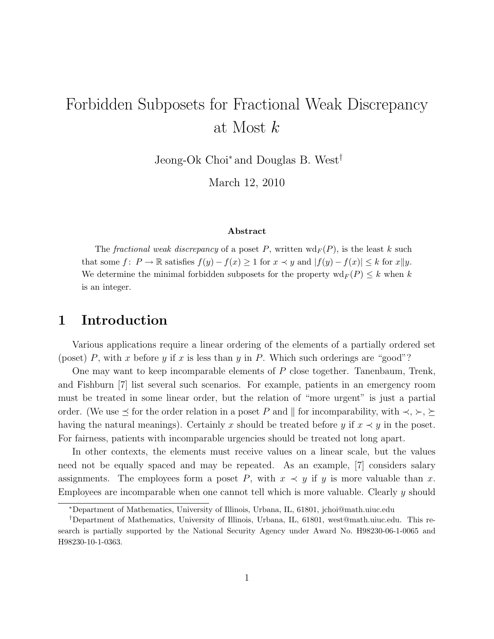# Forbidden Subposets for Fractional Weak Discrepancy at Most k

Jeong-Ok Choi<sup>∗</sup> and Douglas B. West†

March 12, 2010

#### Abstract

The fractional weak discrepancy of a poset P, written  $\mathrm{wd}_F(P)$ , is the least k such that some  $f: P \to \mathbb{R}$  satisfies  $f(y) - f(x) \ge 1$  for  $x \prec y$  and  $|f(y) - f(x)| \le k$  for  $x||y$ . We determine the minimal forbidden subposets for the property  $\operatorname{wd}_F(P) \leq k$  when k is an integer.

#### 1 Introduction

Various applications require a linear ordering of the elements of a partially ordered set (poset) P, with x before y if x is less than y in P. Which such orderings are "good"?

One may want to keep incomparable elements of P close together. Tanenbaum, Trenk, and Fishburn [7] list several such scenarios. For example, patients in an emergency room must be treated in some linear order, but the relation of "more urgent" is just a partial order. (We use  $\leq$  for the order relation in a poset P and  $\parallel$  for incomparability, with  $\prec, \succ, \succeq$ having the natural meanings). Certainly x should be treated before y if  $x \prec y$  in the poset. For fairness, patients with incomparable urgencies should be treated not long apart.

In other contexts, the elements must receive values on a linear scale, but the values need not be equally spaced and may be repeated. As an example, [7] considers salary assignments. The employees form a poset P, with  $x \prec y$  if y is more valuable than x. Employees are incomparable when one cannot tell which is more valuable. Clearly y should

<sup>∗</sup>Department of Mathematics, University of Illinois, Urbana, IL, 61801, jchoi@math.uiuc.edu

<sup>†</sup>Department of Mathematics, University of Illinois, Urbana, IL, 61801, west@math.uiuc.edu. This research is partially supported by the National Security Agency under Award No. H98230-06-1-0065 and H98230-10-1-0363.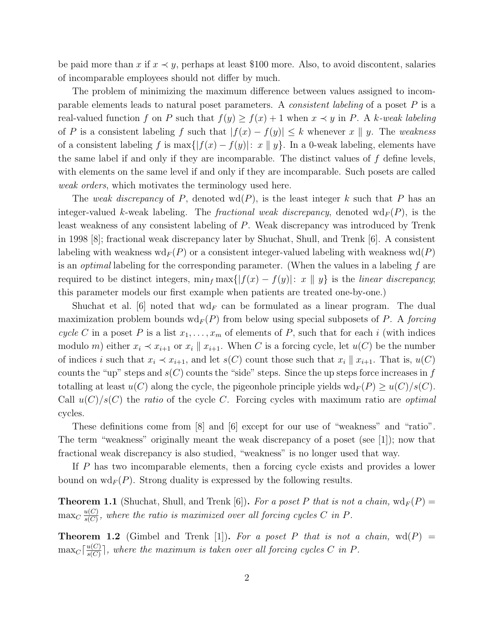be paid more than x if  $x \prec y$ , perhaps at least \$100 more. Also, to avoid discontent, salaries of incomparable employees should not differ by much.

The problem of minimizing the maximum difference between values assigned to incomparable elements leads to natural poset parameters. A *consistent labeling* of a poset P is a real-valued function f on P such that  $f(y) \ge f(x) + 1$  when  $x \prec y$  in P. A k-weak labeling of P is a consistent labeling f such that  $|f(x) - f(y)| \leq k$  whenever  $x \parallel y$ . The *weakness* of a consistent labeling f is max $\{|f(x) - f(y)|: x \parallel y\}$ . In a 0-weak labeling, elements have the same label if and only if they are incomparable. The distinct values of  $f$  define levels, with elements on the same level if and only if they are incomparable. Such posets are called *weak orders*, which motivates the terminology used here.

The *weak discrepancy* of P, denoted  $wd(P)$ , is the least integer k such that P has an integer-valued k-weak labeling. The *fractional weak discrepancy*, denoted  $\text{wd}_F(P)$ , is the least weakness of any consistent labeling of P. Weak discrepancy was introduced by Trenk in 1998 [8]; fractional weak discrepancy later by Shuchat, Shull, and Trenk [6]. A consistent labeling with weakness  $\text{wd}_F(P)$  or a consistent integer-valued labeling with weakness  $\text{wd}(P)$ is an *optimal* labeling for the corresponding parameter. (When the values in a labeling f are required to be distinct integers,  $\min_f \max\{|f(x) - f(y)| : x \parallel y\}$  is the *linear discrepancy*; this parameter models our first example when patients are treated one-by-one.)

Shuchat et al. [6] noted that  $\mathrm{wd}_F$  can be formulated as a linear program. The dual maximization problem bounds  $\text{wd}_F(P)$  from below using special subposets of P. A *forcing cycle* C in a poset P is a list  $x_1, \ldots, x_m$  of elements of P, such that for each i (with indices modulo m) either  $x_i \prec x_{i+1}$  or  $x_i \parallel x_{i+1}$ . When C is a forcing cycle, let  $u(C)$  be the number of indices i such that  $x_i \prec x_{i+1}$ , and let  $s(C)$  count those such that  $x_i \parallel x_{i+1}$ . That is,  $u(C)$ counts the "up" steps and  $s(C)$  counts the "side" steps. Since the up steps force increases in f totalling at least  $u(C)$  along the cycle, the pigeonhole principle yields  $\mathrm{wd}_F(P) \geq u(C)/s(C)$ . Call u(C)/s(C) the *ratio* of the cycle C. Forcing cycles with maximum ratio are *optimal* cycles.

These definitions come from [8] and [6] except for our use of "weakness" and "ratio". The term "weakness" originally meant the weak discrepancy of a poset (see [1]); now that fractional weak discrepancy is also studied, "weakness" is no longer used that way.

If P has two incomparable elements, then a forcing cycle exists and provides a lower bound on  $\text{wd}_F(P)$ . Strong duality is expressed by the following results.

**Theorem 1.1** (Shuchat, Shull, and Trenk [6]). For a poset P that is not a chain,  $\text{wd}_F(P)$  =  $\max_C \frac{u(C)}{s(C)}$  $\frac{u(C)}{s(C)}$ , where the ratio is maximized over all forcing cycles C in P.

**Theorem 1.2** (Gimbel and Trenk [1]). For a poset P that is not a chain,  $wd(P)$  =  $\max_C \left[ \frac{u(C)}{s(C)} \right]$  $\frac{u(C)}{s(C)}$ , where the maximum is taken over all forcing cycles C in P.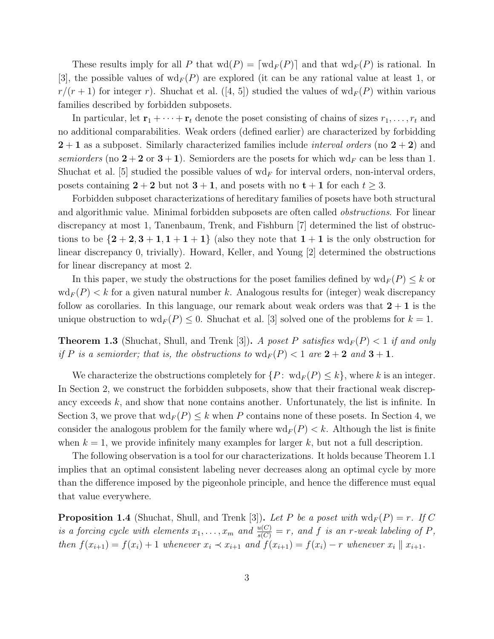These results imply for all P that  $\text{wd}(P) = \lceil \text{wd}_F(P) \rceil$  and that  $\text{wd}_F(P)$  is rational. In [3], the possible values of  $\mathrm{wd}_F(P)$  are explored (it can be any rational value at least 1, or  $r/(r+1)$  for integer r). Shuchat et al. ([4, 5]) studied the values of  $\mathrm{wd}_F(P)$  within various families described by forbidden subposets.

In particular, let  $\mathbf{r}_1 + \cdots + \mathbf{r}_t$  denote the poset consisting of chains of sizes  $r_1, \ldots, r_t$  and no additional comparabilities. Weak orders (defined earlier) are characterized by forbidding 2 + 1 as a subposet. Similarly characterized families include *interval orders* (no 2 + 2) and *semiorders* (no  $2 + 2$  or  $3 + 1$ ). Semiorders are the posets for which wd<sub>F</sub> can be less than 1. Shuchat et al. [5] studied the possible values of  $\mathrm{wd}_F$  for interval orders, non-interval orders, posets containing  $2 + 2$  but not  $3 + 1$ , and posets with no  $t + 1$  for each  $t \geq 3$ .

Forbidden subposet characterizations of hereditary families of posets have both structural and algorithmic value. Minimal forbidden subposets are often called *obstructions*. For linear discrepancy at most 1, Tanenbaum, Trenk, and Fishburn [7] determined the list of obstructions to be  $\{2+2,3+1,1+1+1\}$  (also they note that  $1+1$  is the only obstruction for linear discrepancy 0, trivially). Howard, Keller, and Young [2] determined the obstructions for linear discrepancy at most 2.

In this paper, we study the obstructions for the poset families defined by  $\mathrm{wd}_F(P) \leq k$  or  $\text{wd}_F(P) < k$  for a given natural number k. Analogous results for (integer) weak discrepancy follow as corollaries. In this language, our remark about weak orders was that  $2 + 1$  is the unique obstruction to  $\text{wd}_F(P) \leq 0$ . Shuchat et al. [3] solved one of the problems for  $k = 1$ .

**Theorem 1.3** (Shuchat, Shull, and Trenk [3]). *A poset* P *satisfies*  $\text{wd}_F(P) < 1$  *if and only if* P *is a semiorder; that is, the obstructions to*  $\text{wd}_F(P) < 1$  *are*  $2 + 2$  *and*  $3 + 1$ *.* 

We characterize the obstructions completely for  $\{P: \text{ wd}_F(P) \leq k\}$ , where k is an integer. In Section 2, we construct the forbidden subposets, show that their fractional weak discrepancy exceeds  $k$ , and show that none contains another. Unfortunately, the list is infinite. In Section 3, we prove that  $\text{wd}_F(P) \leq k$  when P contains none of these posets. In Section 4, we consider the analogous problem for the family where  $\text{wd}_F(P) < k$ . Although the list is finite when  $k = 1$ , we provide infinitely many examples for larger k, but not a full description.

The following observation is a tool for our characterizations. It holds because Theorem 1.1 implies that an optimal consistent labeling never decreases along an optimal cycle by more than the difference imposed by the pigeonhole principle, and hence the difference must equal that value everywhere.

**Proposition 1.4** (Shuchat, Shull, and Trenk [3]). Let P be a poset with  $\text{wd}_F(P) = r$ . If C *is a forcing cycle with elements*  $x_1, \ldots, x_m$  *and*  $\frac{u(C)}{s(C)} = r$ *, and* f *is an* r*-weak labeling of* P, *then*  $f(x_{i+1}) = f(x_i) + 1$  *whenever*  $x_i \prec x_{i+1}$  *and*  $f(x_{i+1}) = f(x_i) - r$  *whenever*  $x_i \parallel x_{i+1}$ .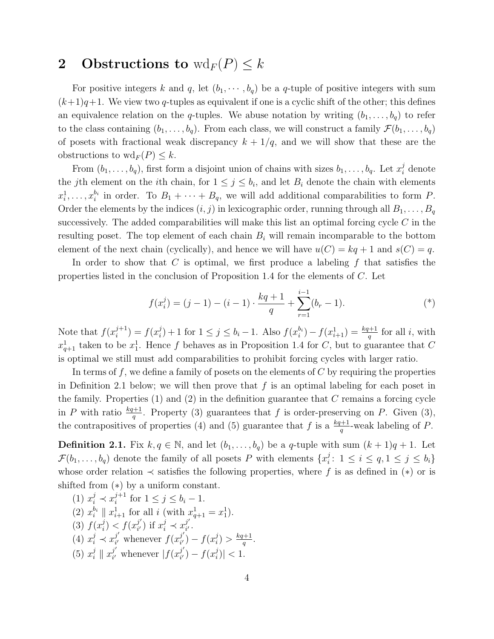## 2 Obstructions to  $\operatorname{wd}_F(P) \leq k$

For positive integers k and q, let  $(b_1, \dots, b_q)$  be a q-tuple of positive integers with sum  $(k+1)q+1$ . We view two q-tuples as equivalent if one is a cyclic shift of the other; this defines an equivalence relation on the q-tuples. We abuse notation by writing  $(b_1,\ldots,b_q)$  to refer to the class containing  $(b_1,\ldots,b_q)$ . From each class, we will construct a family  $\mathcal{F}(b_1,\ldots,b_q)$ of posets with fractional weak discrepancy  $k + 1/q$ , and we will show that these are the obstructions to  $\operatorname{wd}_F(P) \leq k$ .

From  $(b_1, \ldots, b_q)$ , first form a disjoint union of chains with sizes  $b_1, \ldots, b_q$ . Let  $x_i^j$  denote the jth element on the *i*th chain, for  $1 \leq j \leq b_i$ , and let  $B_i$  denote the chain with elements  $x_i^1, \ldots, x_i^{b_i}$  $\frac{b_i}{i}$  in order. To  $B_1 + \cdots + B_q$ , we will add additional comparabilities to form P. Order the elements by the indices  $(i, j)$  in lexicographic order, running through all  $B_1, \ldots, B_q$ successively. The added comparabilities will make this list an optimal forcing cycle  $C$  in the resulting poset. The top element of each chain  $B_i$  will remain incomparable to the bottom element of the next chain (cyclically), and hence we will have  $u(C) = kq + 1$  and  $s(C) = q$ .

In order to show that C is optimal, we first produce a labeling  $f$  that satisfies the properties listed in the conclusion of Proposition 1.4 for the elements of C. Let

$$
f(x_i^j) = (j-1) - (i-1) \cdot \frac{kq+1}{q} + \sum_{r=1}^{i-1} (b_r - 1).
$$
 (\*)

Note that  $f(x_i^{j+1})$  $j^{+1}_{i}$ ) =  $f(x_i^j)$  $j_i^j$  + 1 for  $1 \le j \le b_i - 1$ . Also  $f(x_i^{b_i})$  $i_j^{(b_i)} - f(x_{i+1}^1) = \frac{kq+1}{q}$  for all *i*, with  $x_{q+1}^1$  taken to be  $x_1^1$ . Hence f behaves as in Proposition 1.4 for C, but to guarantee that C is optimal we still must add comparabilities to prohibit forcing cycles with larger ratio.

In terms of f, we define a family of posets on the elements of  $C$  by requiring the properties in Definition 2.1 below; we will then prove that  $f$  is an optimal labeling for each poset in the family. Properties  $(1)$  and  $(2)$  in the definition guarantee that C remains a forcing cycle in P with ratio  $\frac{kq+1}{q}$ . Property (3) guarantees that f is order-preserving on P. Given (3), the contrapositives of properties (4) and (5) guarantee that f is a  $\frac{kq+1}{q}$ -weak labeling of P.

**Definition 2.1.** Fix  $k, q \in \mathbb{N}$ , and let  $(b_1, \ldots, b_q)$  be a q-tuple with sum  $(k+1)q+1$ . Let  $\mathcal{F}(b_1,\ldots,b_q)$  denote the family of all posets P with elements  $\{x_i^j\}$  $i: 1 \leq i \leq q, 1 \leq j \leq b_i\}$ whose order relation  $\prec$  satisfies the following properties, where f is as defined in (\*) or is shifted from (∗) by a uniform constant.

(1)  $x_i^j \prec x_i^{j+1}$  $i^{j+1}$  for  $1 \leq j \leq b_i - 1$ .  $(2)$   $x_i^{b_i}$  $\binom{b_i}{i}$   $x_{i+1}^1$  for all i (with  $x_{q+1}^1 = x_1^1$ ).  $(3)$   $f(x_i^j)$  $\binom{j}{i} < f(x_{i'}^{j'})$  $j'_{i'}$ ) if  $x_i^j \prec x_{i'}^{j'}$  $\frac{j}{i'}$  . (4)  $x_i^j \prec x_{i'}^{j'}$  $j'_{i'}$  whenever  $f(x_{i'}^{j'})$  $j'_{i'}$ ) –  $f(x_i^j)$  $\binom{j}{i} > \frac{kq+1}{q}$  $\frac{q+1}{q}$ .  $(5)$   $x_i^j$  $\begin{array}{c} i \\ i \end{array} \parallel x_{i'}^{j'}$  $j'_{i'}$  whenever  $|f(x_{i'}^{j'})|$  $j'_{i'}$ ) –  $f(x_i^j)$  $_{i}^{j})|<1.$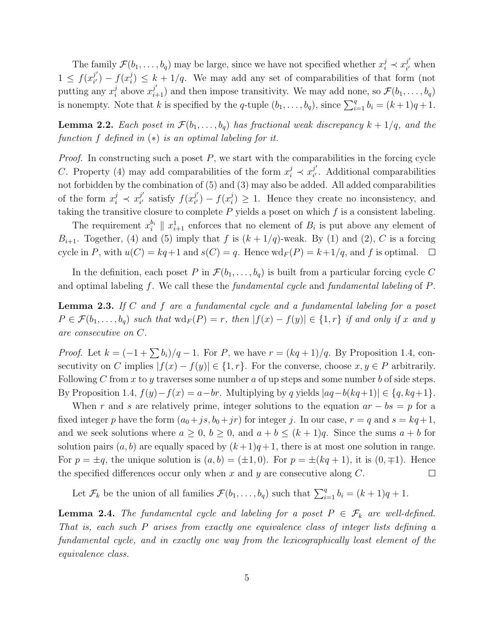The family  $\mathcal{F}(b_1,\ldots,b_q)$  may be large, since we have not specified whether  $x_i^j \prec x_{i'}^{j'}$  $i<sub>i</sub>$  when  $1 \leq f(x_{i'}^{j'})$  $j'_{i'}$ ) –  $f(x_i^j)$  $i_j^j$ )  $\leq k+1/q$ . We may add any set of comparabilities of that form (not putting any  $x_i^j$  $\hat{a}_i$  above  $x_{i+1}^{j'}$  and then impose transitivity. We may add none, so  $\mathcal{F}(b_1,\ldots,b_q)$ is nonempty. Note that k is specified by the q-tuple  $(b_1, \ldots, b_q)$ , since  $\sum_{i=1}^q b_i = (k+1)q+1$ .

**Lemma 2.2.** *Each poset in*  $\mathcal{F}(b_1,\ldots,b_q)$  *has fractional weak discrepancy*  $k + 1/q$ *, and the function* f *defined in* (∗) *is an optimal labeling for it.*

*Proof.* In constructing such a poset P, we start with the comparabilities in the forcing cycle C. Property (4) may add comparabilities of the form  $x_i^j \prec x_{i'}^{j'}$  $i<sub>i</sub>$ . Additional comparabilities not forbidden by the combination of (5) and (3) may also be added. All added comparabilities of the form  $x_i^j \prec x_{i'}^{j'}$  $j'_{i'}$  satisfy  $f(x_{i'}^{j'})$  $j'_{i'}$ ) –  $f(x_i^j)$  $\binom{J}{i} \geq 1$ . Hence they create no inconsistency, and taking the transitive closure to complete  $P$  yields a poset on which  $f$  is a consistent labeling.

The requirement  $x_i^{b_i}$  $\mathcal{E}_{i}^{b_{i}}$  ||  $x_{i+1}^{1}$  enforces that no element of  $B_{i}$  is put above any element of  $B_{i+1}$ . Together, (4) and (5) imply that f is  $(k+1/q)$ -weak. By (1) and (2), C is a forcing cycle in P, with  $u(C) = kq+1$  and  $s(C) = q$ . Hence  $\text{wd}_F(P) = k+1/q$ , and f is optimal.  $\Box$ 

In the definition, each poset P in  $\mathcal{F}(b_1,\ldots,b_q)$  is built from a particular forcing cycle C and optimal labeling f. We call these the *fundamental cycle* and *fundamental labeling* of P.

Lemma 2.3. *If* C *and* f *are a fundamental cycle and a fundamental labeling for a poset*  $P \in \mathcal{F}(b_1,\ldots,b_q)$  *such that*  $\text{wd}_F(P) = r$ *, then*  $|f(x) - f(y)| \in \{1,r\}$  *if and only if* x *and* y *are consecutive on* C*.*

*Proof.* Let  $k = (-1 + \sum b_i)/q - 1$ . For P, we have  $r = (kq + 1)/q$ . By Proposition 1.4, consecutivity on C implies  $|f(x) - f(y)| \in \{1, r\}$ . For the converse, choose  $x, y \in P$  arbitrarily. Following C from x to y traverses some number a of up steps and some number b of side steps. By Proposition 1.4,  $f(y)-f(x) = a-br$ . Multiplying by q yields  $|aq-b(kq+1)| \in \{q, kq+1\}$ .

When r and s are relatively prime, integer solutions to the equation  $ar - bs = p$  for a fixed integer p have the form  $(a_0+js,b_0+jr)$  for integer j. In our case,  $r = q$  and  $s = kq+1$ , and we seek solutions where  $a \geq 0$ ,  $b \geq 0$ , and  $a + b \leq (k + 1)q$ . Since the sums  $a + b$  for solution pairs  $(a, b)$  are equally spaced by  $(k+1)q+1$ , there is at most one solution in range. For  $p = \pm q$ , the unique solution is  $(a, b) = (\pm 1, 0)$ . For  $p = \pm (kq + 1)$ , it is  $(0, \mp 1)$ . Hence the specified differences occur only when x and y are consecutive along  $C$ .  $\Box$ 

Let  $\mathcal{F}_k$  be the union of all families  $\mathcal{F}(b_1,\ldots,b_q)$  such that  $\sum_{i=1}^q b_i = (k+1)q+1$ .

**Lemma 2.4.** *The fundamental cycle and labeling for a poset*  $P \in \mathcal{F}_k$  *are well-defined. That is, each such* P *arises from exactly one equivalence class of integer lists defining a fundamental cycle, and in exactly one way from the lexicographically least element of the equivalence class.*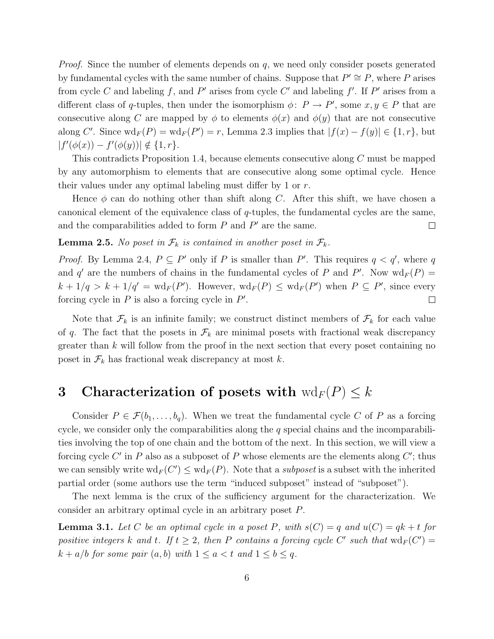*Proof.* Since the number of elements depends on q, we need only consider posets generated by fundamental cycles with the same number of chains. Suppose that  $P' \cong P$ , where P arises from cycle C and labeling f, and P' arises from cycle C' and labeling f'. If P' arises from a different class of q-tuples, then under the isomorphism  $\phi: P \to P'$ , some  $x, y \in P$  that are consecutive along C are mapped by  $\phi$  to elements  $\phi(x)$  and  $\phi(y)$  that are not consecutive along C'. Since  $\mathrm{wd}_F(P) = \mathrm{wd}_F(P') = r$ , Lemma 2.3 implies that  $|f(x) - f(y)| \in \{1, r\}$ , but  $|f'(\phi(x)) - f'(\phi(y))| \notin \{1, r\}.$ 

This contradicts Proposition 1.4, because elements consecutive along C must be mapped by any automorphism to elements that are consecutive along some optimal cycle. Hence their values under any optimal labeling must differ by 1 or r.

Hence  $\phi$  can do nothing other than shift along C. After this shift, we have chosen a canonical element of the equivalence class of q-tuples, the fundamental cycles are the same, and the comparabilities added to form  $P$  and  $P'$  are the same.  $\Box$ 

**Lemma 2.5.** *No poset in*  $\mathcal{F}_k$  *is contained in another poset in*  $\mathcal{F}_k$ *.* 

*Proof.* By Lemma 2.4,  $P \subseteq P'$  only if P is smaller than P'. This requires  $q < q'$ , where q and q' are the numbers of chains in the fundamental cycles of P and P'. Now  $\mathrm{wd}_F(P)$  =  $k + 1/q > k + 1/q' = \text{wd}_F(P')$ . However,  $\text{wd}_F(P) \leq \text{wd}_F(P')$  when  $P \subseteq P'$ , since every forcing cycle in  $P$  is also a forcing cycle in  $P'$ .  $\Box$ 

Note that  $\mathcal{F}_k$  is an infinite family; we construct distinct members of  $\mathcal{F}_k$  for each value of q. The fact that the posets in  $\mathcal{F}_k$  are minimal posets with fractional weak discrepancy greater than  $k$  will follow from the proof in the next section that every poset containing no poset in  $\mathcal{F}_k$  has fractional weak discrepancy at most k.

## 3 Characterization of posets with  $\text{wd}_F(P) \leq k$

Consider  $P \in \mathcal{F}(b_1,\ldots,b_q)$ . When we treat the fundamental cycle C of P as a forcing cycle, we consider only the comparabilities along the  $q$  special chains and the incomparabilities involving the top of one chain and the bottom of the next. In this section, we will view a forcing cycle  $C'$  in P also as a subposet of P whose elements are the elements along  $C'$ ; thus we can sensibly write  $\text{wd}_F(C') \leq \text{wd}_F(P)$ . Note that a *subposet* is a subset with the inherited partial order (some authors use the term "induced subposet" instead of "subposet").

The next lemma is the crux of the sufficiency argument for the characterization. We consider an arbitrary optimal cycle in an arbitrary poset P.

**Lemma 3.1.** Let C be an optimal cycle in a poset P, with  $s(C) = q$  and  $u(C) = qk + t$  for *positive integers* k and t. If  $t \geq 2$ , then P contains a forcing cycle C' such that  $\text{wd}_F(C') =$  $k + a/b$  *for some pair*  $(a, b)$  *with*  $1 \le a < t$  *and*  $1 \le b \le q$ *.*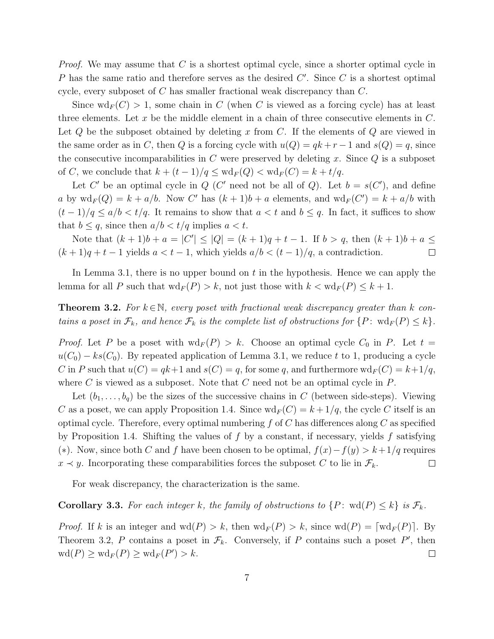*Proof.* We may assume that C is a shortest optimal cycle, since a shorter optimal cycle in  $P$  has the same ratio and therefore serves as the desired  $C'$ . Since  $C$  is a shortest optimal cycle, every subposet of C has smaller fractional weak discrepancy than C.

Since  $\text{wd}_F(C) > 1$ , some chain in C (when C is viewed as a forcing cycle) has at least three elements. Let x be the middle element in a chain of three consecutive elements in  $C$ . Let  $Q$  be the subposet obtained by deleting x from  $C$ . If the elements of  $Q$  are viewed in the same order as in C, then Q is a forcing cycle with  $u(Q) = qk + r - 1$  and  $s(Q) = q$ , since the consecutive incomparabilities in  $C$  were preserved by deleting x. Since  $Q$  is a subposet of C, we conclude that  $k + (t - 1)/q \leq \text{wd}_F(Q) < \text{wd}_F(C) = k + t/q$ .

Let C' be an optimal cycle in Q (C' need not be all of Q). Let  $b = s(C')$ , and define a by  $\operatorname{wd}_F(Q) = k + a/b$ . Now C' has  $(k+1)b + a$  elements, and  $\operatorname{wd}_F(C') = k + a/b$  with  $(t-1)/q \le a/b < t/q$ . It remains to show that  $a < t$  and  $b \le q$ . In fact, it suffices to show that  $b \leq q$ , since then  $a/b < t/q$  implies  $a < t$ .

Note that  $(k + 1)b + a = |C'| \le |Q| = (k + 1)q + t - 1$ . If  $b > q$ , then  $(k + 1)b + a \le$  $(k + 1)q + t - 1$  yields  $a < t - 1$ , which yields  $a/b < (t - 1)/q$ , a contradiction.  $\Box$ 

In Lemma 3.1, there is no upper bound on  $t$  in the hypothesis. Hence we can apply the lemma for all P such that  $\operatorname{wd}_F(P) > k$ , not just those with  $k < \operatorname{wd}_F(P) \leq k+1$ .

**Theorem 3.2.** For  $k \in \mathbb{N}$ , every poset with fractional weak discrepancy greater than k con*tains a poset in*  $\mathcal{F}_k$ *, and hence*  $\mathcal{F}_k$  *is the complete list of obstructions for*  $\{P: \text{wd}_F(P) \leq k\}$ *.* 

*Proof.* Let P be a poset with  $\text{wd}_F(P) > k$ . Choose an optimal cycle  $C_0$  in P. Let  $t =$  $u(C_0) - ks(C_0)$ . By repeated application of Lemma 3.1, we reduce t to 1, producing a cycle C in P such that  $u(C) = qk+1$  and  $s(C) = q$ , for some q, and furthermore  $\mathrm{wd}_F(C) = k+1/q$ , where  $C$  is viewed as a subposet. Note that  $C$  need not be an optimal cycle in  $P$ .

Let  $(b_1,\ldots,b_q)$  be the sizes of the successive chains in C (between side-steps). Viewing C as a poset, we can apply Proposition 1.4. Since  $\text{wd}_F(C) = k + 1/q$ , the cycle C itself is an optimal cycle. Therefore, every optimal numbering  $f$  of C has differences along C as specified by Proposition 1.4. Shifting the values of f by a constant, if necessary, yields f satisfying (∗). Now, since both C and f have been chosen to be optimal,  $f(x) - f(y) > k + 1/q$  requires  $x \prec y$ . Incorporating these comparabilities forces the subposet C to lie in  $\mathcal{F}_k$ .  $\Box$ 

For weak discrepancy, the characterization is the same.

**Corollary 3.3.** For each integer k, the family of obstructions to  $\{P: \text{wd}(P) \leq k\}$  is  $\mathcal{F}_k$ .

*Proof.* If k is an integer and  $\text{wd}(P) > k$ , then  $\text{wd}_F(P) > k$ , since  $\text{wd}(P) = [\text{wd}_F(P)]$ . By Theorem 3.2, P contains a poset in  $\mathcal{F}_k$ . Conversely, if P contains such a poset P', then  $\operatorname{wd}(P) \ge \operatorname{wd}_F(P) \ge \operatorname{wd}_F(P') > k.$  $\Box$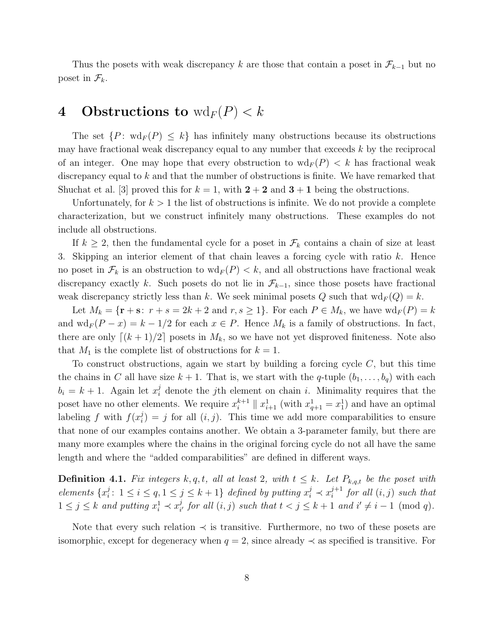Thus the posets with weak discrepancy k are those that contain a poset in  $\mathcal{F}_{k-1}$  but no poset in  $\mathcal{F}_k$ .

## 4 Obstructions to  $\text{wd}_F(P) < k$

The set  $\{P: \text{wd}_F(P) \leq k\}$  has infinitely many obstructions because its obstructions may have fractional weak discrepancy equal to any number that exceeds  $k$  by the reciprocal of an integer. One may hope that every obstruction to  $\operatorname{wd}_F(P) < k$  has fractional weak discrepancy equal to k and that the number of obstructions is finite. We have remarked that Shuchat et al. [3] proved this for  $k = 1$ , with  $2 + 2$  and  $3 + 1$  being the obstructions.

Unfortunately, for  $k > 1$  the list of obstructions is infinite. We do not provide a complete characterization, but we construct infinitely many obstructions. These examples do not include all obstructions.

If  $k \geq 2$ , then the fundamental cycle for a poset in  $\mathcal{F}_k$  contains a chain of size at least 3. Skipping an interior element of that chain leaves a forcing cycle with ratio  $k$ . Hence no poset in  $\mathcal{F}_k$  is an obstruction to  $\text{wd}_F(P) < k$ , and all obstructions have fractional weak discrepancy exactly k. Such posets do not lie in  $\mathcal{F}_{k-1}$ , since those posets have fractional weak discrepancy strictly less than k. We seek minimal posets Q such that  $\text{wd}_F(Q) = k$ .

Let  $M_k = {\mathbf{r} + \mathbf{s}: r + s = 2k + 2 \text{ and } r, s \ge 1}.$  For each  $P \in M_k$ , we have  $\text{wd}_F(P) = k$ and  $\text{wd}_F(P-x) = k - 1/2$  for each  $x \in P$ . Hence  $M_k$  is a family of obstructions. In fact, there are only  $\lfloor (k+1)/2 \rfloor$  posets in  $M_k$ , so we have not yet disproved finiteness. Note also that  $M_1$  is the complete list of obstructions for  $k = 1$ .

To construct obstructions, again we start by building a forcing cycle  $C$ , but this time the chains in C all have size  $k + 1$ . That is, we start with the q-tuple  $(b_1, \ldots, b_q)$  with each  $b_i = k + 1$ . Again let  $x_i^j$  denote the *j*th element on chain *i*. Minimality requires that the poset have no other elements. We require  $x_i^{k+1} \parallel x_{i+1}^1$  (with  $x_{q+1}^1 = x_1^1$ ) and have an optimal labeling f with  $f(x_i^j)$  $i_j$ ) = j for all  $(i, j)$ . This time we add more comparabilities to ensure that none of our examples contains another. We obtain a 3-parameter family, but there are many more examples where the chains in the original forcing cycle do not all have the same length and where the "added comparabilities" are defined in different ways.

**Definition 4.1.** *Fix integers*  $k, q, t$ *, all at least* 2*, with*  $t \leq k$ *. Let*  $P_{k,q,t}$  *be the poset with*  $elements \{x_i^j\}$  $i: 1 \leq i \leq q, 1 \leq j \leq k+1$  defined by putting  $x_i^j \prec x_i^{j+1}$  $i_j^{j+1}$  for all  $(i, j)$  such that  $1 \leq j \leq k$  and putting  $x_i^1 \prec x_i^j$  $i_j$  for all  $(i, j)$  such that  $t < j \leq k + 1$  and  $i' \neq i - 1 \pmod{q}$ .

Note that every such relation  $\prec$  is transitive. Furthermore, no two of these posets are isomorphic, except for degeneracy when  $q = 2$ , since already  $\prec$  as specified is transitive. For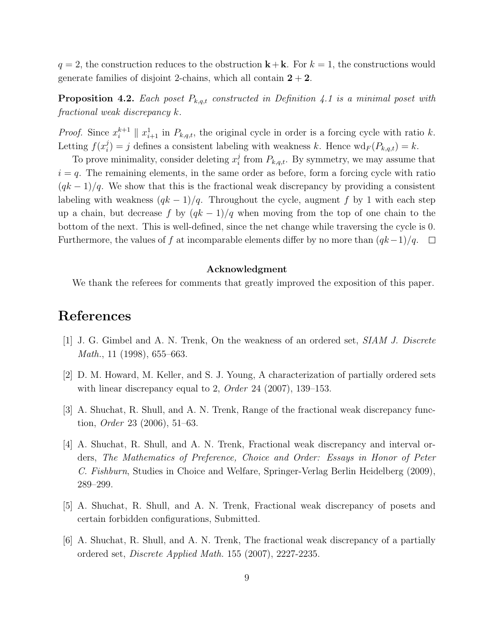$q = 2$ , the construction reduces to the obstruction  $k + k$ . For  $k = 1$ , the constructions would generate families of disjoint 2-chains, which all contain  $2 + 2$ .

**Proposition 4.2.** *Each poset*  $P_{k,q,t}$  *constructed in Definition 4.1 is a minimal poset with fractional weak discrepancy* k*.*

*Proof.* Since  $x_i^{k+1} \parallel x_{i+1}^1$  in  $P_{k,q,t}$ , the original cycle in order is a forcing cycle with ratio k. Letting  $f(x_i^j)$  $i_j^j$  = j defines a consistent labeling with weakness k. Hence  $\mathrm{wd}_F(P_{k,q,t}) = k$ .

To prove minimality, consider deleting  $x_i^j$  $E_i$  from  $P_{k,q,t}$ . By symmetry, we may assume that  $i = q$ . The remaining elements, in the same order as before, form a forcing cycle with ratio  $(qk-1)/q$ . We show that this is the fractional weak discrepancy by providing a consistent labeling with weakness  $(qk-1)/q$ . Throughout the cycle, augment f by 1 with each step up a chain, but decrease f by  $(qk-1)/q$  when moving from the top of one chain to the bottom of the next. This is well-defined, since the net change while traversing the cycle is 0. Furthermore, the values of f at incomparable elements differ by no more than  $(qk-1)/q$ .  $\Box$ 

#### Acknowledgment

We thank the referees for comments that greatly improved the exposition of this paper.

#### References

- [1] J. G. Gimbel and A. N. Trenk, On the weakness of an ordered set, *SIAM J. Discrete Math.*, 11 (1998), 655–663.
- [2] D. M. Howard, M. Keller, and S. J. Young, A characterization of partially ordered sets with linear discrepancy equal to 2, *Order* 24 (2007), 139–153.
- [3] A. Shuchat, R. Shull, and A. N. Trenk, Range of the fractional weak discrepancy function, *Order* 23 (2006), 51–63.
- [4] A. Shuchat, R. Shull, and A. N. Trenk, Fractional weak discrepancy and interval orders, *The Mathematics of Preference, Choice and Order: Essays in Honor of Peter C. Fishburn*, Studies in Choice and Welfare, Springer-Verlag Berlin Heidelberg (2009), 289–299.
- [5] A. Shuchat, R. Shull, and A. N. Trenk, Fractional weak discrepancy of posets and certain forbidden configurations, Submitted.
- [6] A. Shuchat, R. Shull, and A. N. Trenk, The fractional weak discrepancy of a partially ordered set, *Discrete Applied Math.* 155 (2007), 2227-2235.